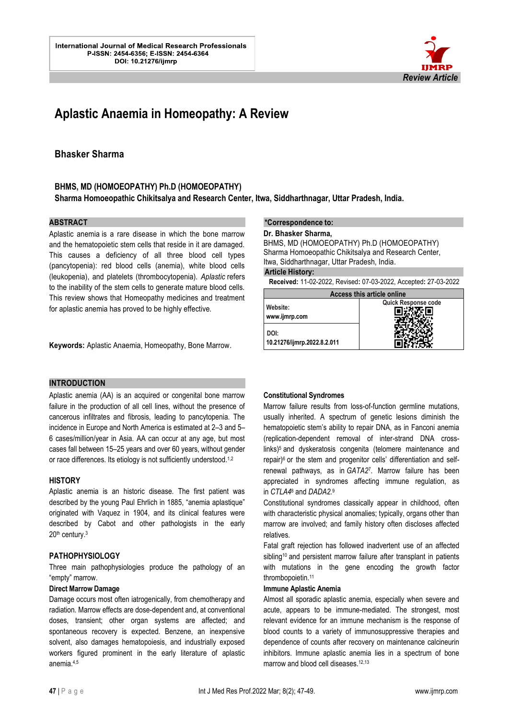

# **Aplastic Anaemia in Homeopathy: A Review**

# **Bhasker Sharma**

# **BHMS, MD (HOMOEOPATHY) Ph.D (HOMOEOPATHY)**

**Sharma Homoeopathic Chikitsalya and Research Center, Itwa, Siddharthnagar, Uttar Pradesh, India.**

# **ABSTRACT**

Aplastic anemia is a rare disease in which the bone marrow and the hematopoietic stem cells that reside in it are damaged. This causes a deficiency of all three blood cell types (pancytopenia): red blood cells (anemia), white blood cells (leukopenia), and platelets (thrombocytopenia). *Aplastic* refers to the inability of the stem cells to generate mature blood cells. This review shows that Homeopathy medicines and treatment for aplastic anemia has proved to be highly effective.

**Keywords:** Aplastic Anaemia, Homeopathy, Bone Marrow.

### **INTRODUCTION**

Aplastic anemia (AA) is an acquired or congenital bone marrow failure in the production of all cell lines, without the presence of cancerous infiltrates and fibrosis, leading to pancytopenia. The incidence in Europe and North America is estimated at 2–3 and 5– 6 cases/million/year in Asia. AA can occur at any age, but most cases fall between 15–25 years and over 60 years, without gender or race differences. Its etiology is not sufficiently understood.<sup>1,2</sup>

## **HISTORY**

Aplastic anemia is an historic disease. The first patient was described by the young Paul Ehrlich in 1885, "anemia aplastique" originated with Vaquez in 1904, and its clinical features were described by Cabot and other pathologists in the early 20<sup>th</sup> century.<sup>3</sup>

## **PATHOPHYSIOLOGY**

Three main pathophysiologies produce the pathology of an "empty" marrow.

# **Direct Marrow Damage**

Damage occurs most often iatrogenically, from chemotherapy and radiation. Marrow effects are dose-dependent and, at conventional doses, transient; other organ systems are affected; and spontaneous recovery is expected. Benzene, an inexpensive solvent, also damages hematopoiesis, and industrially exposed workers figured prominent in the early literature of aplastic anemia.4,5

#### **\*Correspondence to:**

l.

**Dr. Bhasker Sharma,** 

BHMS, MD (HOMOEOPATHY) Ph.D (HOMOEOPATHY) Sharma Homoeopathic Chikitsalya and Research Center, Itwa, Siddharthnagar, Uttar Pradesh, India.

**Article History:**

**Received:** 11-02-2022, Revised**:** 07-03-2022, Accepted**:** 27-03-2022

| Access this article online          |                     |
|-------------------------------------|---------------------|
| Website:<br>www.ijmrp.com           | Quick Response code |
| DOI:<br>10.21276/ijmrp.2022.8.2.011 |                     |

### **Constitutional Syndromes**

Marrow failure results from loss-of-function germline mutations, usually inherited. A spectrum of genetic lesions diminish the hematopoietic stem's ability to repair DNA, as in Fanconi anemia (replication-dependent removal of inter-strand DNA crosslink[s\)](https://www.ncbi.nlm.nih.gov/pmc/articles/PMC6467577/#R5)<sup>5</sup> and dyskeratosis congenita (telomere maintenance and repair[\)](https://www.ncbi.nlm.nih.gov/pmc/articles/PMC6467577/#R6)<sup>6</sup> or the stem and progenitor cells' differentiation and selfrenewal pathways, as in *GATA[2](https://www.ncbi.nlm.nih.gov/pmc/articles/PMC6467577/#R7)*<sup>7</sup> . Marrow failure has been appreciated in syndromes affecting immune regulation, as in *CTLA[4](https://www.ncbi.nlm.nih.gov/pmc/articles/PMC6467577/#R8)*<sup>8</sup> and *DADA2[.](https://www.ncbi.nlm.nih.gov/pmc/articles/PMC6467577/#R9)*<sup>9</sup>

Constitutional syndromes classically appear in childhood, often with characteristic physical anomalies; typically, organs other than marrow are involved; and family history often discloses affected relatives.

Fatal graft rejection has followed inadvertent use of an affected sibling<sup>[10](https://www.ncbi.nlm.nih.gov/pmc/articles/PMC6467577/#R10)</sup> and persistent marrow failure after transplant in patients with mutations in the gene encoding the growth factor thrombopoietin.[11](https://www.ncbi.nlm.nih.gov/pmc/articles/PMC6467577/#R11)

## **Immune Aplastic Anemia**

Almost all sporadic aplastic anemia, especially when severe and acute, appears to be immune-mediated. The strongest, most relevant evidence for an immune mechanism is the response of blood counts to a variety of immunosuppressive therapies and dependence of counts after recovery on maintenance calcineurin inhibitors. Immune aplastic anemia lies in a spectrum of bone marrow and blood cell diseases.<sup>12,13</sup>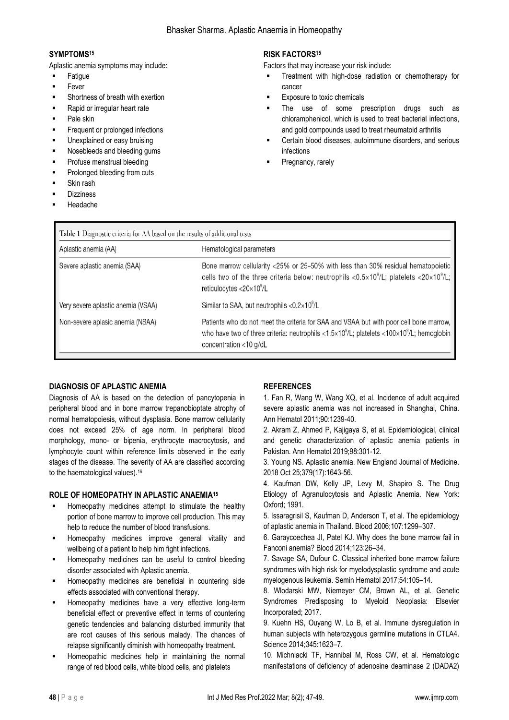# **SYMPTOMS<sup>15</sup>**

Aplastic anemia symptoms may include:

- **Fatigue**
- **Fever**
- Shortness of breath with exertion
- Rapid or irregular heart rate
- Pale skin
- Frequent or prolonged infections
- Unexplained or easy bruising
- Nosebleeds and bleeding gums
- Profuse menstrual bleeding
- Prolonged bleeding from cuts
- Skin rash
- **Dizziness**
- **Headache**

# **RISK FACTORS<sup>15</sup>**

Factors that may increase your risk include:

- Treatment with high-dose radiation or chemotherapy for cancer
- Exposure to toxic chemicals
- The use of some prescription drugs such as chloramphenicol, which is used to treat bacterial infections, and gold compounds used to treat rheumatoid arthritis
- Certain blood diseases, autoimmune disorders, and serious infections
- Pregnancy, rarely

| Aplastic anemia (AA)               | Hematological parameters                                                                                                                                                                                                                            |
|------------------------------------|-----------------------------------------------------------------------------------------------------------------------------------------------------------------------------------------------------------------------------------------------------|
| Severe aplastic anemia (SAA)       | Bone marrow cellularity <25% or 25-50% with less than 30% residual hematopoietic<br>cells two of the three criteria below: neutrophils <0.5×10 <sup>9</sup> /L; platelets <20×10 <sup>9</sup> /L;<br>reticulocytes $<$ 20 $\times$ 10 $^{\circ}$ /L |
| Very severe aplastic anemia (VSAA) | Similar to SAA, but neutrophils < $0.2 \times 10^9$ /L                                                                                                                                                                                              |
| Non-severe aplasic anemia (NSAA)   | Patients who do not meet the criteria for SAA and VSAA but with poor cell bone marrow,<br>who have two of three criteria: neutrophils <1.5×10 $^9$ /L; platelets <100×10 $^9$ /L; hemoglobin<br>concentration <10 g/dL                              |

### **DIAGNOSIS OF APLASTIC ANEMIA**

Diagnosis of AA is based on the detection of pancytopenia in peripheral blood and in bone marrow trepanobioptate atrophy of normal hematopoiesis, without dysplasia. Bone marrow cellularity does not exceed 25% of age norm. In peripheral blood morphology, mono- or bipenia, erythrocyte macrocytosis, and lymphocyte count within reference limits observed in the early stages of the disease. The severity of AA are classified according to the haematological values). 16

# **ROLE OF HOMEOPATHY IN APLASTIC ANAEMIA<sup>15</sup>**

- Homeopathy medicines attempt to stimulate the healthy portion of bone marrow to improve cell production. This may help to reduce the number of blood transfusions.
- Homeopathy medicines improve general vitality and wellbeing of a patient to help him fight infections.
- Homeopathy medicines can be useful to control bleeding disorder associated with Aplastic anemia.
- Homeopathy medicines are beneficial in countering side effects associated with conventional therapy.
- Homeopathy medicines have a very effective long-term beneficial effect or preventive effect in terms of countering genetic tendencies and balancing disturbed immunity that are root causes of this serious malady. The chances of relapse significantly diminish with homeopathy treatment.
- Homeopathic medicines help in maintaining the normal range of red blood cells, white blood cells, and platelets

# **REFERENCES**

1. Fan R, Wang W, Wang XQ, et al. Incidence of adult acquired severe aplastic anemia was not increased in Shanghai, China. Ann Hematol 2011;90:1239-40.

2. Akram Z, Ahmed P, Kajigaya S, et al. Epidemiological, clinical and genetic characterization of aplastic anemia patients in Pakistan. Ann Hematol 2019;98:301-12.

3. Young NS. Aplastic anemia. New England Journal of Medicine. 2018 Oct 25;379(17):1643-56.

4. Kaufman DW, Kelly JP, Levy M, Shapiro S. The Drug Etiology of Agranulocytosis and Aplastic Anemia. New York: Oxford; 1991.

5. Issaragrisil S, Kaufman D, Anderson T, et al. The epidemiology of aplastic anemia in Thailand. Blood 2006;107:1299–307.

6. Garaycoechea JI, Patel KJ. Why does the bone marrow fail in Fanconi anemia? Blood 2014;123:26–34.

7. Savage SA, Dufour C. Classical inherited bone marrow failure syndromes with high risk for myelodysplastic syndrome and acute myelogenous leukemia. Semin Hematol 2017;54:105–14.

8. Wlodarski MW, Niemeyer CM, Brown AL, et al. Genetic Syndromes Predisposing to Myeloid Neoplasia: Elsevier Incorporated; 2017.

9. Kuehn HS, Ouyang W, Lo B, et al. Immune dysregulation in human subjects with heterozygous germline mutations in CTLA4. Science 2014;345:1623–7.

10. Michniacki TF, Hannibal M, Ross CW, et al. Hematologic manifestations of deficiency of adenosine deaminase 2 (DADA2)